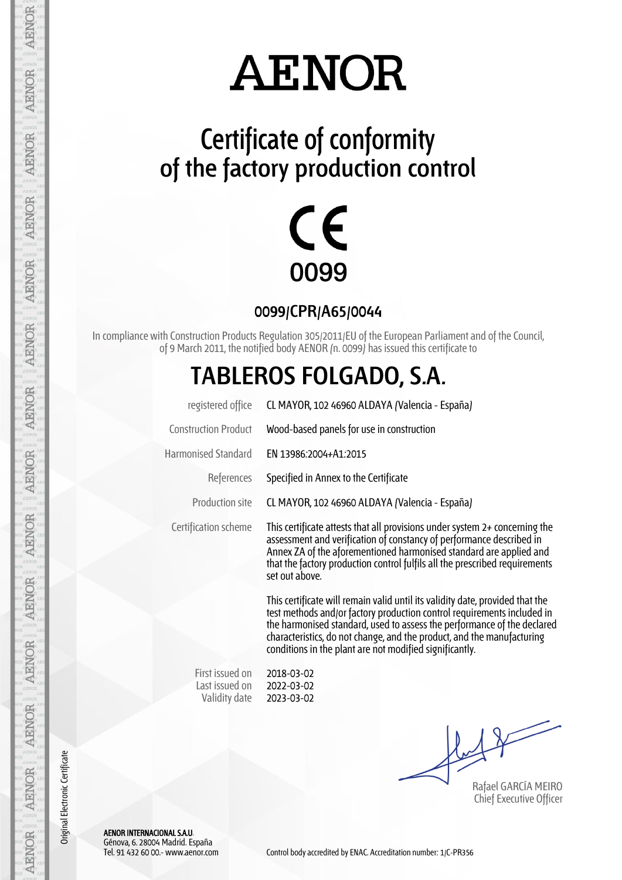## **AENOR**

### **Certificate of conformity of the factory production control**



**0099/CPR/A65/0044**

In compliance with Construction Products Regulation 305/2011/EU of the European Parliament and of the Council, of 9 March 2011, the notified body AENOR (n. 0099) has issued this certificate to

#### **TABLEROS FOLGADO, S.A.**

| registered office           | CL MAYOR, 102 46960 ALDAYA (Valencia - España)                                                                                                                                                                                                                                                                               |
|-----------------------------|------------------------------------------------------------------------------------------------------------------------------------------------------------------------------------------------------------------------------------------------------------------------------------------------------------------------------|
| <b>Construction Product</b> | Wood-based panels for use in construction                                                                                                                                                                                                                                                                                    |
| <b>Harmonised Standard</b>  | EN 13986.2004+A1.2015                                                                                                                                                                                                                                                                                                        |
| References                  | Specified in Annex to the Certificate                                                                                                                                                                                                                                                                                        |
| Production site             | CL MAYOR, 102 46960 ALDAYA (Valencia - España)                                                                                                                                                                                                                                                                               |
| Certification scheme        | This certificate attests that all provisions under system $2+$ concerning the<br>assessment and verification of constancy of performance described in<br>Annex ZA of the aforementioned harmonised standard are applied and<br>that the factory production control fulfils all the prescribed requirements<br>set out above. |
|                             | This certificate will remain valid until its validity date provided that the                                                                                                                                                                                                                                                 |

This certificate will remain valid until its validity date, provided that the test methods and/or factory production control requirements included in the harmonised standard, used to assess the performance of the declared characteristics, do not change, and the product, and the manufacturing conditions in the plant are not modified significantly.

First issued on Last issued on Validity date

2018-03-02 2022-03-02 2023-03-02

Rafael GARCÍA MEIRO Chief Executive Officer

AENOR INTERNACIONAL S.A.U. Génova, 6. 28004 Madrid. España

AENOR

**AENOR** 

**AENOR** 

**AENOR** 

**AENOR** 

**AENOR** 

**AENOR** 

**AENOR** 

**AENOR** 

**AENOR** 

**AENOR** 

**AENOR** 

**AENOR** 

AENOR

Original Electronic Certificate

Original Electronic Certificate